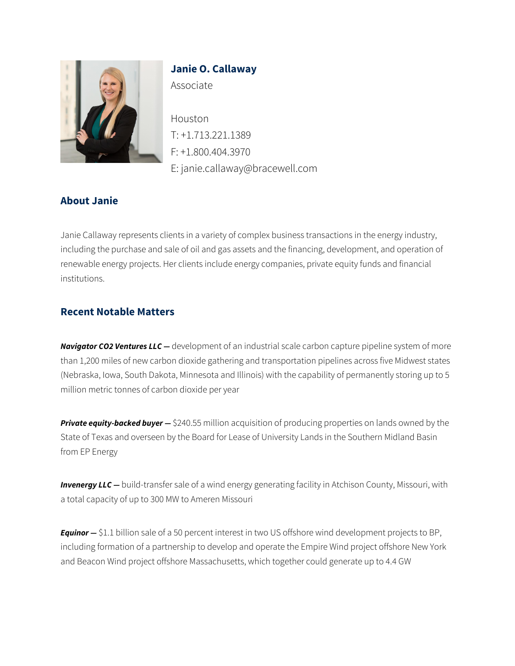

# **Janie O. Callaway**

Associate

Houston T: +1.713.221.1389 F: +1.800.404.3970 E: janie.callaway@bracewell.com

## **About Janie**

Janie Callaway represents clients in a variety of complex business transactions in the energy industry, including the purchase and sale of oil and gas assets and the financing, development, and operation of renewable energy projects. Her clients include energy companies, private equity funds and financial institutions.

## **Recent Notable Matters**

*Navigator CO2 Ventures LLC —* development of an industrial scale carbon capture pipeline system of more than 1,200 miles of new carbon dioxide gathering and transportation pipelines across five Midwest states (Nebraska, Iowa, South Dakota, Minnesota and Illinois) with the capability of permanently storing up to 5 million metric tonnes of carbon dioxide per year

**Private equity-backed buyer -** \$240.55 million acquisition of producing properties on lands owned by the State of Texas and overseen by the Board for Lease of University Lands in the Southern Midland Basin from EP Energy

**Invenergy LLC** — build-transfer sale of a wind energy generating facility in Atchison County, Missouri, with a total capacity of up to 300 MW to Ameren Missouri

*Equinor —* \$1.1 billion sale of a 50 percent interest in two US offshore wind development projects to BP, including formation of a partnership to develop and operate the Empire Wind project offshore New York and Beacon Wind project offshore Massachusetts, which together could generate up to 4.4 GW